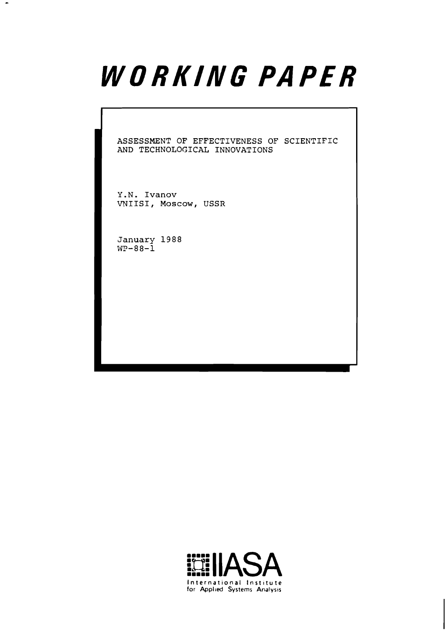# WORKING PAPER

**ASSESSMENT OF EFFECTIVENESS OF SCIENTIFIC AND TECHNOLOGICAL INNOVATIONS** 

**Y.N. Ivanov VNIISI, Moscow, USSR** 

**January 1988 WP-88-1** 

 $\bullet$ 

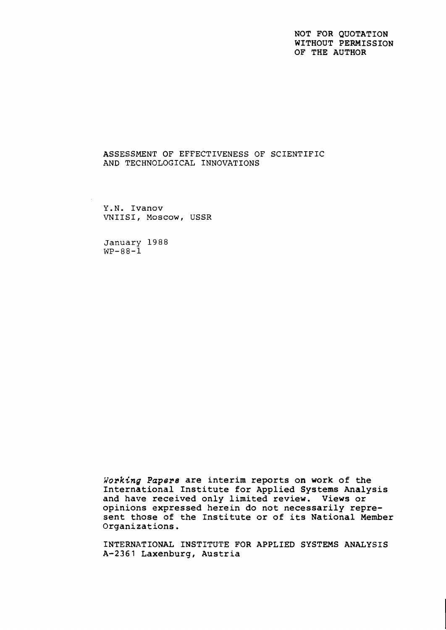### NOT FOR QUOTATION WITHOUT PERMISSION OF THE AUTHOR

### ASSESSMENT OF EFFECTIVENESS OF SCIENTIFIC AND TECHNOLOGICAL INNOVATIONS

Y.N. Ivanov VNIISI, Moscow, USSR

**January 1988**   $WP-88-1$ 

**Working** Papers are interim reports on work of the International Institute for Applied Systems Analysis and have received only limited review. Views or opinions expressed herein do not necessarily represent those of the Institute or of its National Member Organizations.

INTERNATIONAL INSTITUTE FOR APPLIED SYSTEMS ANALYSIS A-2361 Laxenburg, Austria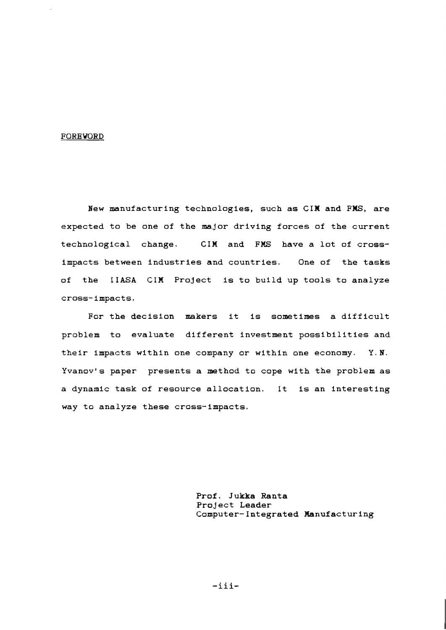#### FOREWORD

New manufacturing technologies, such as CIM and FHS, are expected to be one of the major driving forces of the current technological change. CIM and FMS have a lot of crossimpacts between industries and countries. One of the tasks of the IIASA CIM Project is to build up tools to analyze cross-impacts.

For the decision makers it is sometimes a difficult problem to evaluate different investment possibilities and their impacts within one company or within one economy. Y. N. Yvanov's paper presents a method to cope with the problem as a dynamic task of resource allocation. It is an interesting way to analyze these cross- impacts.

> Prof. Jukka Ranta Project Leader Computer-Integrated Manufacturing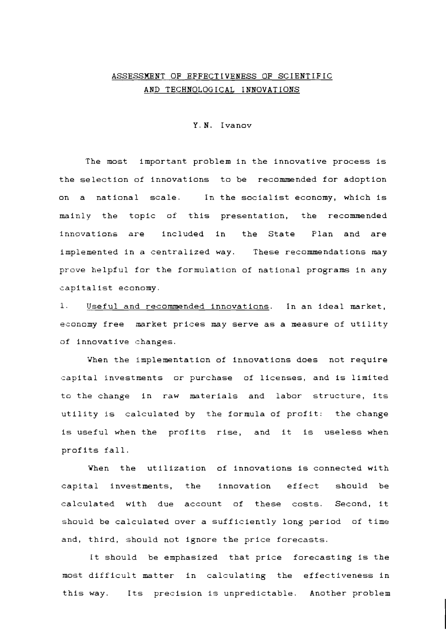## ASSESSMENT OF EFFECTIVENESS OF SCIENTIFIC AND TECHNOLOGICAL INNOVATIONS

Y.N. Ivanov

The most important problem in the innovative process is the selection of innovations to be recommended for adoption on a national scale. In the socialist economy, which is mainly the topic of this presentation, the recommended innovations are included in the State Plan and are implemented in a centralized way. These recommendations may prove helpful for the formulation of national programs in any capitalist economy.

1. Useful and recommended innovations. In an ideal market, economy free market prices may serve as a measure of utility of innovative changes.

When the implementation of innovations does not require capital investments or purchase of licenses, and is limited to the change in raw materials and labor structure, its utility is calculated by the formula of profit: the change is useful when the profits rise, and it is useless when profits fall.

When the utilization of innovations is connected with capital investments, the innovation effect should be calculated with due account of these costs. Second, it should be calculated over a sufficiently long period of time and, third, should not ignore the price forecasts.

It should be emphasized that price forecasting is the most difficult matter in calculating the effectiveness in this way. Its precision is unpredictable. Another problem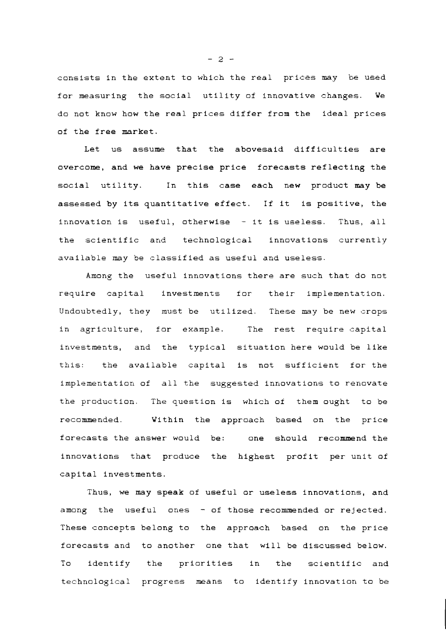consists in the extent to which the real prices may be used for measuring the social utility of innovative changes. We do not know how the real prices differ from the ideal prices of the free market.

Let us assume that the abovesaid difficulties are overcome, and we have precise price forecasts reflecting the social utility. In this case each new product may be assessed by its quantitative effect. If it is positive, the innovation is useful, otherwise - it is useless. Thus, all the scientific and technological innovations currently available may be classified as useful and useless.

Among the useful innovations there are such that do not require capital investments for their implementation. Undoubtedly, they must be utilized. These may be new crops in agriculture, for example. The rest require capital investments, and the typical situation here would be like this: the available capital is not sufficient for the implementation of all the suggested innovations to renovate the production. The question is which of them ought to be recommended. Within the approach based on the price forecasts the answer would be: one should recommend the innovations that produce the highest profit per unit of capital investments.

Thus, we may speak of useful or useless innovations, and among the useful ones  $-$  of those recommended or rejected. These concepts belong to the approach based on the price forecasts and to another one that will be discussed below. To identify the priorities in the scientific and technological progress means to identify innovation to be

 $-2 -$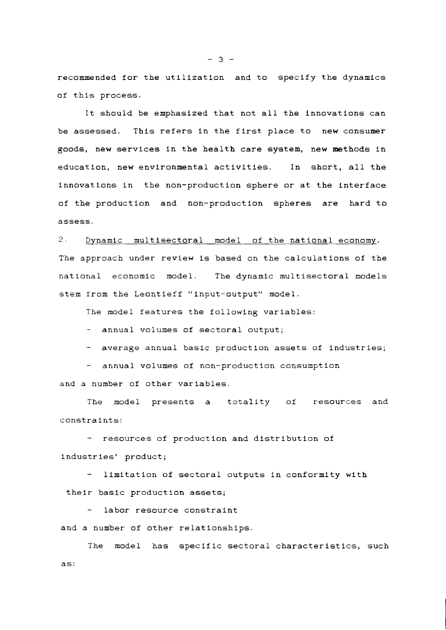recommended for the utilization and to specify the dynamics of this process.

It should be emphasized that not all the innovations can be assessed. This refers in the first place to new consumer goods, new services in the health care system, new methods in education, new environmental act ivities. In short, all the innovations in the non-production sphere or at the interface of the production and non-production spheres are hard to assess.

 $2$ . Dynamic multisectoral model of the national economy. The approach under review is based on the calculations of the national economic model. The dynamic multisectoral models stem from the Leontieff "input-output" model.

The model features the following variables:

- annual volumes of sectoral output;

- average annual basic production assets of industries;

- annual volumes of non-production consumption

and a number of other variables.

The model presents a totality of resources and constraints:

- resources of production and distribution of industries' product;

limitation of sectoral outputs in conformity with their basic production assets;

labor resource constraint and a number of other relationships.

The model has specific sectoral characteristics, such as:

*-3-*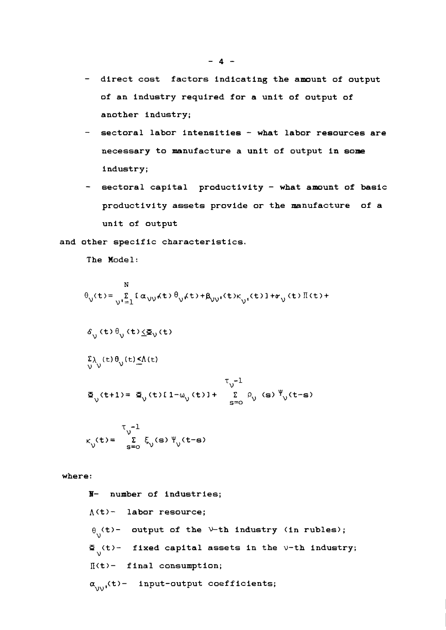- **direct cost factors indicating the amount of output of an industry required for a unit of output of another industry;**
- **sectoral labor intensities what labor resources are necessary to manufacture a unit of output in some industry;**
- **sectoral capital productivity what amount of basic productivity assets provide or the manufacture of a unit of output**

**and other specific characteristics.** 

**The Model:** 

$$
\theta_{\nu}(t) = \sum_{\nu=1}^{N} [\alpha_{\nu\nu} \kappa t \partial_{\nu} \kappa t + \beta_{\nu\nu} \kappa t \kappa_{\nu} \kappa t] + \kappa_{\nu} \kappa t \partial_{\nu} \kappa t \partial_{\nu} \kappa t
$$

$$
\delta_{\gamma_1}(t) \theta_{\gamma_2}(t) \underline{\langle \Phi_{\gamma_1}(t) \rangle}
$$

$$
\sum_{\mathcal{V}}\lambda_{\mathcal{V}}(t)\theta_{\mathcal{V}}(t)\leq\Lambda(t)
$$

$$
\begin{array}{cc} & \tau_{\text{v}}^{-1} \\ \Xi_{\text{v}}(\text{t+1}) = \Xi_{\text{v}}(\text{t}) [1-\omega_{\text{v}}(\text{t})] + & \sum\limits_{\text{s=0}}^{\tau_{\text{v}}-1} \rho_{\text{v}}(\text{s}) \sqrt{\frac{\Psi_{\text{v}}(\text{t}-\text{s})}{\Pi_{\text{v}}}} \end{array}
$$

$$
\kappa_{\mathbf{v}}(\mathbf{t}) = \sum_{\mathbf{s}=\mathbf{0}}^{\mathsf{T}-1} \xi_{\mathbf{v}}(\mathbf{s}) \Psi_{\mathbf{v}}(\mathbf{t}-\mathbf{s})
$$

**where:** 

**B- number of industries; <sup>A</sup>(t)** - **labor resource;**   $\theta$ <sub>V</sub>(t)- output of the V-th industry (in rubles);  $\mathbf{F}_{\mathbf{y}}(t)$ - fixed capital assets in the  $\mathsf{v}\text{-}\mathsf{th}$  industry; **II(t)- final consumption;**   $\alpha_{\text{unif}}(t)$ - input-output coefficients;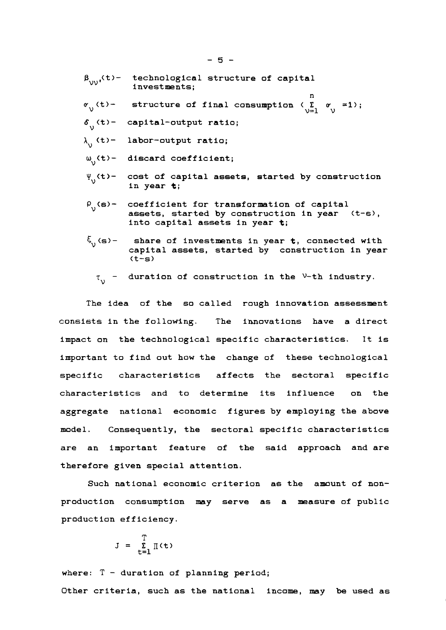- $\beta_{\text{unif}}(t)$  technological structure of capital **investments;**
- **n structure of final consumption**  $\langle \sum_{v=1}^{\infty} v_v = 1 \rangle$ **;**
- $\delta$ <sub>.</sub> (t) capital-output ratio;
- **labor-output ratio;**
- **discard coefficient;**
- **cost of capital assets, started by construction in year t;**
- $P_{1}(s)$  **coefficient for transformation of capital assets, started by construction in year <t-a), into capital assets in year t;**
- $\xi_{n}(s)$  share of investments in year **t**, connected with **capital assets, started by construction in year (t-s)** 
	- $\tau_{\text{N}}$  duration of construction in the  $v$ -th industry.

**The idea of the so called rough innovation assessment consists in the following. The innovations have a direct impact on the technological specific characteristics. It is important to find out how the change of these technological specific characteristics affects the sectoral specific characteristics and to determine its influence on the aggregate national economic figures by employing the above model. Consequently, the sectoral specific characteristics are an important feature of the said approach and are therefore given special attention.** 

**Such national economic criterion as the amount of nonproduction consumption may serve as a measure of public product ion efficiency.** 

$$
J = \sum_{t=1}^{T} \mathbb{I}(t)
$$

**where:** <sup>T</sup>- **duration of planning period; Other criteria, such as the national income, may be used as**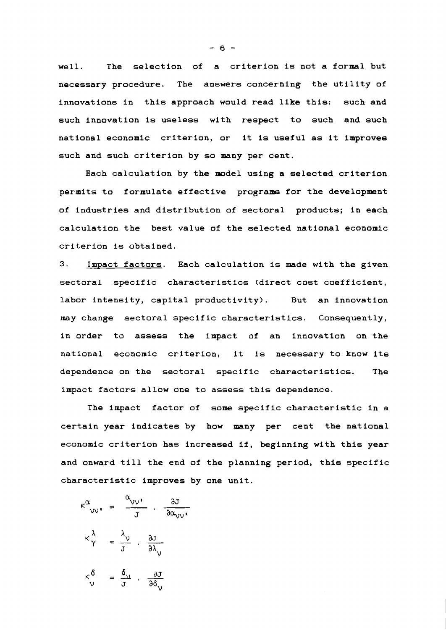**well. The selection of a criterion is not a formal but necessary procedure. The answers concerning the utility of innovations in this approach would read like this: such and such innovation is useless with respect to such and such national economic criterion, or it is useful as it improves such and such criterion by so many per cent.** 

**Each calculation by the model using a selected criterion**  permits to formulate effective programs for the development **of industries and distribution of sectoral products; in each calculation the best value of the selected national economic criterion is obtained.** 

**3. Impact factors. Each calculation is made with the given sectoral specific characteristics (direct cost coefficient,**  labor intensity, capital productivity). But an innovation **may change sectoral specific characteristics. Consequently, in order to assess the impact of an innovation on the national economic criterion, it is necessary to know its dependence on the sectoral specific characteristics. The impact factors allow one to assess this dependence.** 

**The impact factor of some specific characteristic in a certain year indicates by how many per cent the national economic criterion has increased if, beginning with this year and onward till the end of the planning period, this specific characteristic improves by one unit.** 

onward till the end  
\nracteristic improves  
\n
$$
\kappa^{\alpha}_{VV'} = \frac{\alpha_{VV'}}{J} \cdot \frac{\partial J}{\partial \alpha_{VV'}},
$$
\n
$$
\kappa^{\lambda}_{\gamma} = \frac{\lambda_{\nu}}{J} \cdot \frac{\partial J}{\partial \lambda_{\nu}}
$$
\n
$$
\kappa^{\delta}_{\nu} = \frac{\delta_{\nu}}{J} \cdot \frac{\partial J}{\partial \delta_{\nu}}
$$

 $-6 -$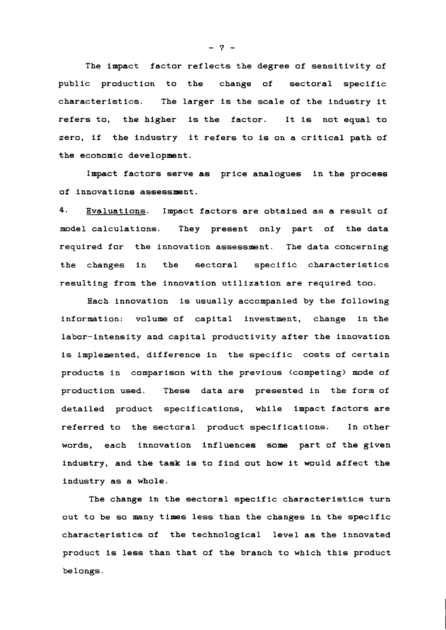**The impact factor reflects the degree of sensitivity of public production to the change of sectoral specific characteristics. The larger is the scale of the industry it refers to, the higher is the factor. It is not equal to zero, if the industry it refers to is on a critical path of the economic development.** 

**Impact factors serve as price analogues in the process of innovations assessment.** 

**4. Evaluations. Impact factors are obtained as a result of model calculations. They present only part of the data required for the innovation assessment. The data concerning the changes in the sectoral specific characteristics resulting from the innovation utilization are required too.** 

**Each innovation is usually accompanied by the following information: volume of capital investment, change in the labor-intensity and capital productivity after the innovation is implemented, difference in the specific costs of certain products in comparison with the previous (competing) mode of production used. These data are presented in the form of detailed product specifications, while impact factors are referred to the sectoral product specifications. In other words, each innovation influences some part of the given industry, and the task is to find out how it would affect the industry as a whole.** 

**The change in the sectoral specific characteristics turn out to be so many times less than the changes in the specific characteristics of the technological level as the innovated product is less than that of the branch to which this product belongs.** 

- **7** -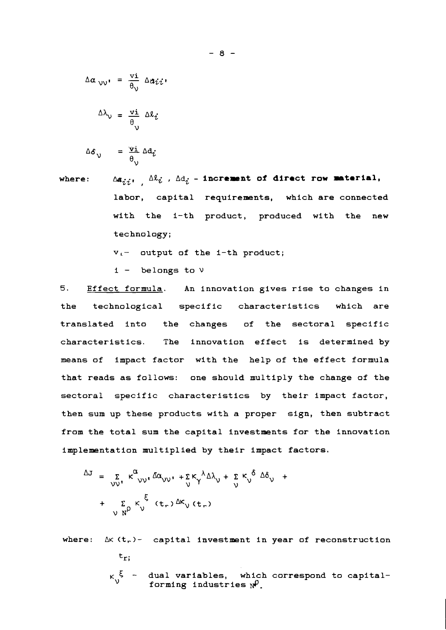$$
\Delta \alpha_{\nu\nu'} = \frac{\nu i}{\theta_{\nu}} \Delta a_{ii}
$$

$$
\Delta\lambda_{\nu} = \frac{\nu i}{\theta_{\nu}} \Delta\ell_{i}
$$

$$
\Delta \delta_{\nu} = \frac{\nu i}{\theta_{\nu}} \Delta d_{\nu}
$$

where:  $\Delta a_{ij}$ ,  $\Delta l_i$ ,  $\Delta d_j$  - **increment of direct row material**, labor, capital requirements, which are connected with the 1-th product, produced with the new technology;

 $v_i$ - output of the 1-th product;

 $i -$  belongs to  $\nu$ 

5. Effect formula. An innovation gives rise to changes in the technological specific characteristics which are translated into the changes of the sectoral specific characteristics. The innovation effect is determined by means of impact factor with the help of the effect formula that reads as follows: one should multiply the change of the sectoral specific characteristics by their impact factor, then sum up these products with a proper sign, then subtract from the total sum the capital investments for the innovation implementation multiplied by their impact factors.

$$
\Delta J = \sum_{\nu \nu'} \kappa^{\alpha}{}_{\nu \nu'} \Delta \alpha_{\nu \nu'} + \sum_{\nu} \kappa^{\lambda}{}_{\lambda} \Delta \gamma + \sum_{\nu} \kappa^{\delta} \Delta \delta_{\nu} +
$$
  
+ 
$$
\sum_{\nu} \kappa^{\delta}{}_{\nu} \kappa^{\xi} (t_{r}) \Delta \kappa_{\nu} (t_{r})
$$

where: 
$$
\Delta K(t_r)
$$
 - capital investment in year of reconstruction  
\nt<sub>r</sub>;  
\n $K_V^{\xi}$  - dual variables, which correspond to capital-  
\nforming industries  $N^{\rho}$ .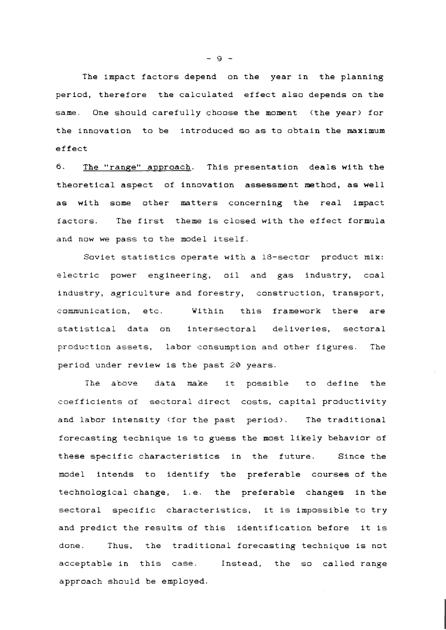The impact factors depend on the year in the planning period, therefore the calculated effect also depends on the same. One should carefully choose the moment (the year) for the innovation to be introduced so as to obtain the maximum effect

6. The "range" approach. This presentation deals with the theoretical aspect of innovation assessment method, as well as with some other matters concerning the real impact factors. The first theme is closed with the effect formula and now we pass to the model itself.

Soviet statistics operate with a 18-sector product mix: electric power engineering, oil and gas industry, coal industry, agriculture and forestry, construction, transport, communication, etc. Within this framework there are statistical data on intersectoral deliveries, sectoral production assets, labor consumption and other figures. The period under review is the past 20 years.

**The** above data **make** It possible **to** define the coefficients of sectoral direct costs, capital productivity and labor intensity (for the past period). The traditional forecasting technique Is to guess the most likely behavior of these specific characteristics in the future. Since the model intends to identify the preferable courses of the technological change, 1.e. the preferable changes in the sectoral specific characteristics, it is impossible to try and predict the results of this identification before it is done. Thus, the traditional forecasting technique is not acceptable in this case. Instead, the so called range approach should be employed.

- 9 -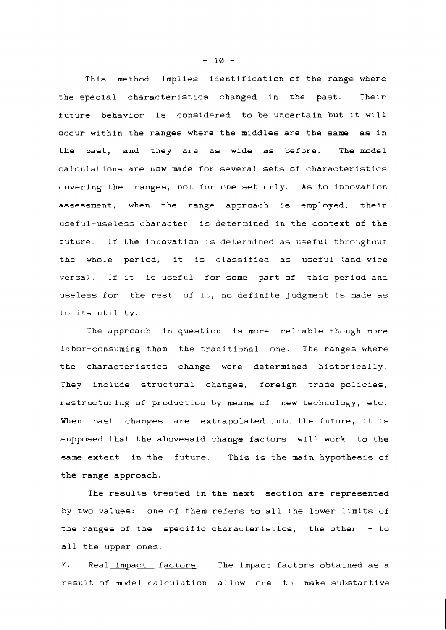This method implies identification of the range where the special characteristics changed in the past. Their future behavior is considered to be uncertain but it will occur within the ranges where the middles are the same as in the past, and they are as wide as before. The model calculations are now made for several sets of characteristics covering the ranges, not for one set only. As to innovation assessment, when the range approach is employed, their useful-useless character is determined in the context of the future. If the innovation is determined as useful throughout the whole period, it is classified as useful (and vice versa). If it is useful for some part of this period and useless for the rest of it, no definite judgment is made as to its utility.

The approach in question is more reliable though more labor-consuming than the traditional one. The ranges where the characteristics change were determined historically. They include structural changes, foreign trade policies, restructuring of production by means of new technology, etc. When past changes are extrapolated into the future, it is supposed that the abovesaid change factors will work to the same extent in the future. This is the main hypothesis of the range approach.

The results treated in the next section are represented by two values: one of them refers to all the lower limits of the ranges of the specific characteristics, the other - to all the upper ones.

7. Real impact factors. The impact factors obtained as a result of model calculation allow one to make substantive

- **10** -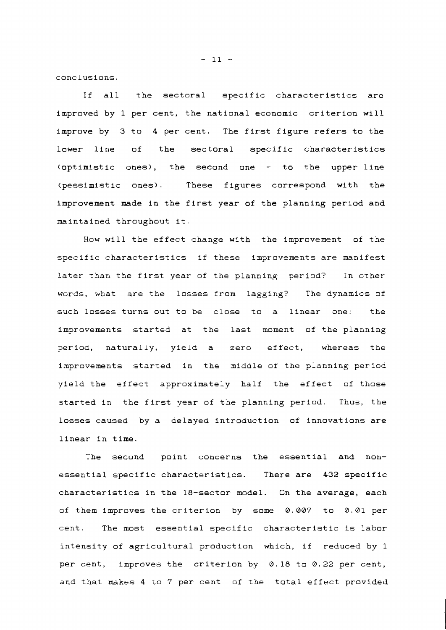conclusions.

If all the sectoral specific characteristics are improved by 1 per cent, the national economic criterion will improve by 3 to 4 per cent. The first figure refers to the lower line of the sectoral specific characteristics (optimistic ones), the second one - to the upper line (pessimistic ones). These figures correspond with the improvement made in the first year of the planning period and maintained throughout it.

How will the effect change with the improvement of the specific characteristics if these improvements are manifest later than the first year of the planning period? in other words, what are the losses from lagging? The dynamics of such losses turns out to be close to a linear one: the improvements started at the last moment of the planning period, naturally, yield a zero effect, whereas the improvements started in the middle of the pianning period yield the effect approximately half the effect of those started in the first year of the planning period. Thus, the losses caused by a delayed introduction of innovations are linear in time.

The second point concerns the essential and nonessential specific characteristics. There are 432 specific characteristics in the 18-sector model. On the average, each of them improves the criterion by some 0.007 to 0.01 per cent. The most essential specific characteristic is labor intensity of agricultural production which, if reduced by 1 per cent, improves the criterion by 0.18 to 0.22 per cent, and that makes 4 to 7 per cent of the total effect provided

 $-11 -$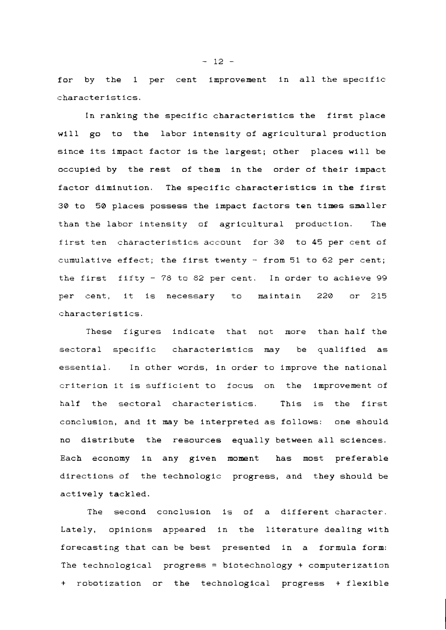for by the 1 per cent improvement in all the specific characteristics.

In ranking the specific characteristics the first place will go to the labor intensity of agricultural production since its impact factor is the largest; other places will be occupied by the rest of them in the order of their impact factor diminution. The specific characteristics in the first 30 to 50 places possess the impact factors ten times smaller than the labor intensity of agricultural production. The first ten characteristics account for 30 to 45 per cent of cumulative effect; the first twenty  $-$  from 51 to 62 per cent; the first fifty - 78 to 82 per cent. In order to achieve 99 per cent, it is necessary to maintain 220 or 215 characteristics.

These figures indicate that not more than half the sectoral specific characteristics may be qualified as essential. In other words, in order to improve the national criterion it is sufficient to focus on the improvement of half the sectoral characteristics. This is the first conclusion, and it may be interpreted as follows: one should no distribute the resources equally between all sciences. Each economy in any given moment has most preferable directions of the technologic progress, and they should be actively tackled.

The second canclusion is of a different character. Lately, opinions appeared in the literature dealing with forecasting that can be best presented in a formula form: The technological progress = biotechnology + computerization + robotization or the technological progress + flexible

 $- 12 -$